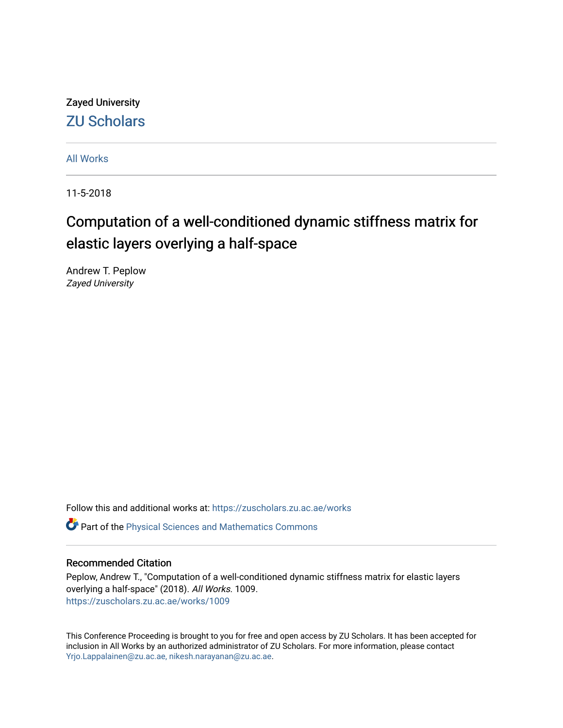Zayed University [ZU Scholars](https://zuscholars.zu.ac.ae/) 

[All Works](https://zuscholars.zu.ac.ae/works)

11-5-2018

# Computation of a well-conditioned dynamic stiffness matrix for elastic layers overlying a half-space

Andrew T. Peplow Zayed University

Follow this and additional works at: [https://zuscholars.zu.ac.ae/works](https://zuscholars.zu.ac.ae/works?utm_source=zuscholars.zu.ac.ae%2Fworks%2F1009&utm_medium=PDF&utm_campaign=PDFCoverPages)

**C** Part of the Physical Sciences and Mathematics Commons

## Recommended Citation

Peplow, Andrew T., "Computation of a well-conditioned dynamic stiffness matrix for elastic layers overlying a half-space" (2018). All Works. 1009. [https://zuscholars.zu.ac.ae/works/1009](https://zuscholars.zu.ac.ae/works/1009?utm_source=zuscholars.zu.ac.ae%2Fworks%2F1009&utm_medium=PDF&utm_campaign=PDFCoverPages)

This Conference Proceeding is brought to you for free and open access by ZU Scholars. It has been accepted for inclusion in All Works by an authorized administrator of ZU Scholars. For more information, please contact [Yrjo.Lappalainen@zu.ac.ae, nikesh.narayanan@zu.ac.ae](mailto:Yrjo.Lappalainen@zu.ac.ae,%20nikesh.narayanan@zu.ac.ae).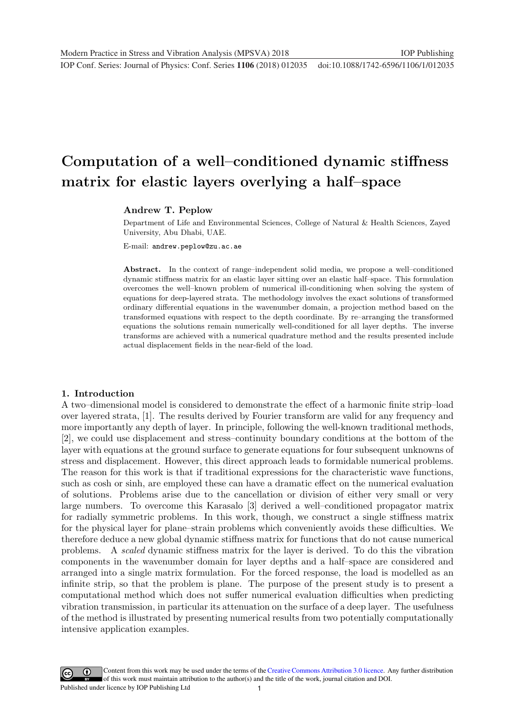# Computation of a well–conditioned dynamic stiffness matrix for elastic layers overlying a half–space

## Andrew T. Peplow

Department of Life and Environmental Sciences, College of Natural & Health Sciences, Zayed University, Abu Dhabi, UAE.

E-mail: andrew.peplow@zu.ac.ae

Abstract. In the context of range–independent solid media, we propose a well–conditioned dynamic stiffness matrix for an elastic layer sitting over an elastic half–space. This formulation overcomes the well–known problem of numerical ill-conditioning when solving the system of equations for deep-layered strata. The methodology involves the exact solutions of transformed ordinary differential equations in the wavenumber domain, a projection method based on the transformed equations with respect to the depth coordinate. By re–arranging the transformed equations the solutions remain numerically well-conditioned for all layer depths. The inverse transforms are achieved with a numerical quadrature method and the results presented include actual displacement fields in the near-field of the load.

## 1. Introduction

A two–dimensional model is considered to demonstrate the effect of a harmonic finite strip–load over layered strata, [1]. The results derived by Fourier transform are valid for any frequency and more importantly any depth of layer. In principle, following the well-known traditional methods, [2], we could use displacement and stress–continuity boundary conditions at the bottom of the layer with equations at the ground surface to generate equations for four subsequent unknowns of stress and displacement. However, this direct approach leads to formidable numerical problems. The reason for this work is that if traditional expressions for the characteristic wave functions, such as cosh or sinh, are employed these can have a dramatic effect on the numerical evaluation of solutions. Problems arise due to the cancellation or division of either very small or very large numbers. To overcome this Karasalo [3] derived a well–conditioned propagator matrix for radially symmetric problems. In this work, though, we construct a single stiffness matrix for the physical layer for plane–strain problems which conveniently avoids these difficulties. We therefore deduce a new global dynamic stiffness matrix for functions that do not cause numerical problems. A scaled dynamic stiffness matrix for the layer is derived. To do this the vibration components in the wavenumber domain for layer depths and a half–space are considered and arranged into a single matrix formulation. For the forced response, the load is modelled as an infinite strip, so that the problem is plane. The purpose of the present study is to present a computational method which does not suffer numerical evaluation difficulties when predicting vibration transmission, in particular its attenuation on the surface of a deep layer. The usefulness of the method is illustrated by presenting numerical results from two potentially computationally intensive application examples.

1 Content from this work may be used under the terms of the[Creative Commons Attribution 3.0 licence.](http://creativecommons.org/licenses/by/3.0) Any further distribution of this work must maintain attribution to the author(s) and the title of the work, journal citation and DOI. Published under licence by IOP Publishing Ltd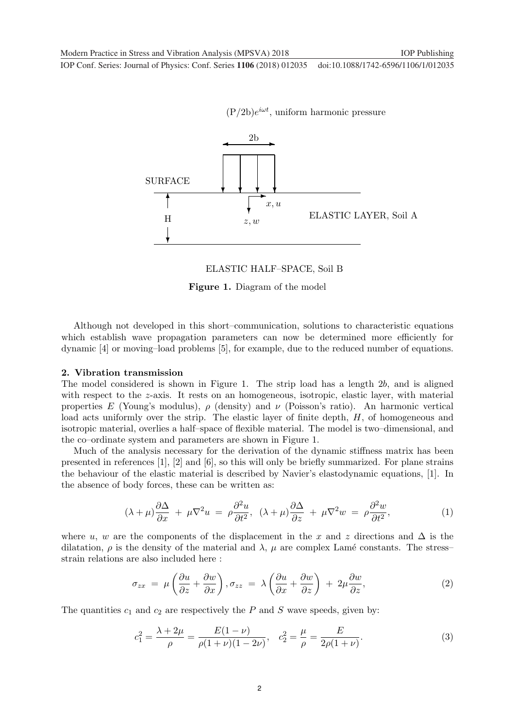

#### ELASTIC HALF–SPACE, Soil B

Figure 1. Diagram of the model

Although not developed in this short–communication, solutions to characteristic equations which establish wave propagation parameters can now be determined more efficiently for dynamic [4] or moving–load problems [5], for example, due to the reduced number of equations.

#### 2. Vibration transmission

The model considered is shown in Figure 1. The strip load has a length 2b, and is aligned with respect to the z-axis. It rests on an homogeneous, isotropic, elastic layer, with material properties E (Young's modulus),  $\rho$  (density) and  $\nu$  (Poisson's ratio). An harmonic vertical load acts uniformly over the strip. The elastic layer of finite depth,  $H$ , of homogeneous and isotropic material, overlies a half–space of flexible material. The model is two–dimensional, and the co–ordinate system and parameters are shown in Figure 1.

Much of the analysis necessary for the derivation of the dynamic stiffness matrix has been presented in references [1], [2] and [6], so this will only be briefly summarized. For plane strains the behaviour of the elastic material is described by Navier's elastodynamic equations, [1]. In the absence of body forces, these can be written as:

$$
(\lambda + \mu)\frac{\partial \Delta}{\partial x} + \mu \nabla^2 u = \rho \frac{\partial^2 u}{\partial t^2}, \quad (\lambda + \mu)\frac{\partial \Delta}{\partial z} + \mu \nabla^2 w = \rho \frac{\partial^2 w}{\partial t^2}, \tag{1}
$$

where u, w are the components of the displacement in the x and z directions and  $\Delta$  is the dilatation,  $\rho$  is the density of the material and  $\lambda$ ,  $\mu$  are complex Lamé constants. The stress– strain relations are also included here :

$$
\sigma_{zx} = \mu \left( \frac{\partial u}{\partial z} + \frac{\partial w}{\partial x} \right), \sigma_{zz} = \lambda \left( \frac{\partial u}{\partial x} + \frac{\partial w}{\partial z} \right) + 2\mu \frac{\partial w}{\partial z}, \tag{2}
$$

The quantities  $c_1$  and  $c_2$  are respectively the P and S wave speeds, given by:

$$
c_1^2 = \frac{\lambda + 2\mu}{\rho} = \frac{E(1 - \nu)}{\rho(1 + \nu)(1 - 2\nu)}, \quad c_2^2 = \frac{\mu}{\rho} = \frac{E}{2\rho(1 + \nu)}.
$$
 (3)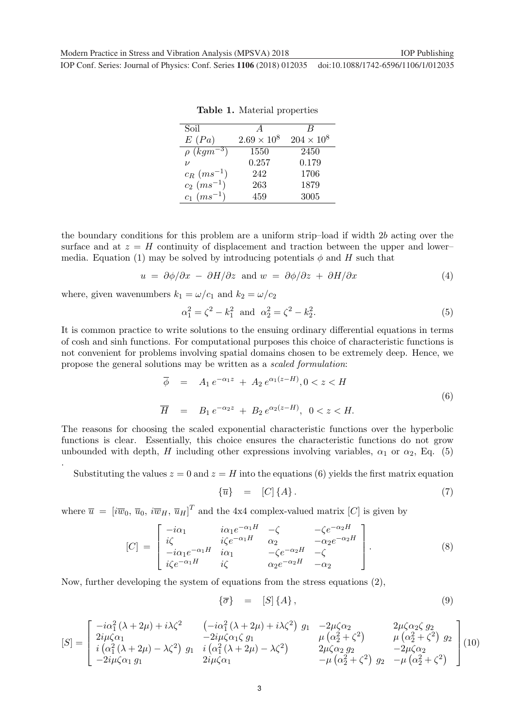| Soil                        | $\overline{A}$     | R                   |
|-----------------------------|--------------------|---------------------|
| E(Pa)                       | $2.69 \times 10^8$ | $204 \times 10^{8}$ |
| $\rho$ (kgm <sup>-3</sup> ) | 1550               | 2450                |
| $\boldsymbol{\nu}$          | 0.257              | 0.179               |
| $c_R$ $(ms^{-1})$           | 242                | 1706                |
| $c_2$ $(ms^{-1})$           | 263                | 1879                |
| $c_1$ $(ms^{-1})$           | 459                | 3005                |

Table 1. Material properties

the boundary conditions for this problem are a uniform strip–load if width 2b acting over the surface and at  $z = H$  continuity of displacement and traction between the upper and lower– media. Equation (1) may be solved by introducing potentials  $\phi$  and H such that

$$
u = \frac{\partial \phi}{\partial x} - \frac{\partial H}{\partial z} \text{ and } w = \frac{\partial \phi}{\partial z} + \frac{\partial H}{\partial x} \tag{4}
$$

where, given wavenumbers  $k_1 = \omega/c_1$  and  $k_2 = \omega/c_2$ 

.

$$
\alpha_1^2 = \zeta^2 - k_1^2 \text{ and } \alpha_2^2 = \zeta^2 - k_2^2. \tag{5}
$$

It is common practice to write solutions to the ensuing ordinary differential equations in terms of cosh and sinh functions. For computational purposes this choice of characteristic functions is not convenient for problems involving spatial domains chosen to be extremely deep. Hence, we propose the general solutions may be written as a scaled formulation:

$$
\overline{\phi} = A_1 e^{-\alpha_1 z} + A_2 e^{\alpha_1 (z - H)}, 0 < z < H
$$
  
\n
$$
\overline{H} = B_1 e^{-\alpha_2 z} + B_2 e^{\alpha_2 (z - H)}, 0 < z < H.
$$
\n(6)

The reasons for choosing the scaled exponential characteristic functions over the hyperbolic functions is clear. Essentially, this choice ensures the characteristic functions do not grow unbounded with depth, H including other expressions involving variables,  $\alpha_1$  or  $\alpha_2$ , Eq. (5)

Substituting the values  $z = 0$  and  $z = H$  into the equations (6) yields the first matrix equation

$$
\{\overline{u}\} = [C] \{A\}.
$$
\n<sup>(7)</sup>

where  $\overline{u} = [i\overline{w}_0, \overline{u}_0, i\overline{w}_H, \overline{u}_H]^T$  and the 4x4 complex-valued matrix [C] is given by

$$
[C] = \begin{bmatrix} -i\alpha_1 & i\alpha_1 e^{-\alpha_1 H} & -\zeta & -\zeta e^{-\alpha_2 H} \\ i\zeta & i\zeta e^{-\alpha_1 H} & \alpha_2 & -\alpha_2 e^{-\alpha_2 H} \\ -i\alpha_1 e^{-\alpha_1 H} & i\alpha_1 & -\zeta e^{-\alpha_2 H} & -\zeta \\ i\zeta e^{-\alpha_1 H} & i\zeta & \alpha_2 e^{-\alpha_2 H} & -\alpha_2 \end{bmatrix}.
$$
 (8)

Now, further developing the system of equations from the stress equations (2),

$$
\{\overline{\sigma}\} = [S] \{A\},\tag{9}
$$

$$
[S] = \begin{bmatrix} -i\alpha_1^2(\lambda + 2\mu) + i\lambda\zeta^2 & \left(-i\alpha_1^2(\lambda + 2\mu) + i\lambda\zeta^2\right) g_1 & -2\mu\zeta\alpha_2 & 2\mu\zeta\alpha_2\xi g_2 \\ 2i\mu\zeta\alpha_1 & -2i\mu\zeta\alpha_1\zeta g_1 & \mu\left(\alpha_2^2 + \zeta^2\right) & \mu\left(\alpha_2^2 + \zeta^2\right) g_2 \\ i\left(\alpha_1^2(\lambda + 2\mu) - \lambda\zeta^2\right) g_1 & i\left(\alpha_1^2(\lambda + 2\mu) - \lambda\zeta^2\right) & 2\mu\zeta\alpha_2 g_2 & -2\mu\zeta\alpha_2 \\ -2i\mu\zeta\alpha_1 g_1 & 2i\mu\zeta\alpha_1 & -\mu\left(\alpha_2^2 + \zeta^2\right) g_2 & -\mu\left(\alpha_2^2 + \zeta^2\right) \end{bmatrix} (10)
$$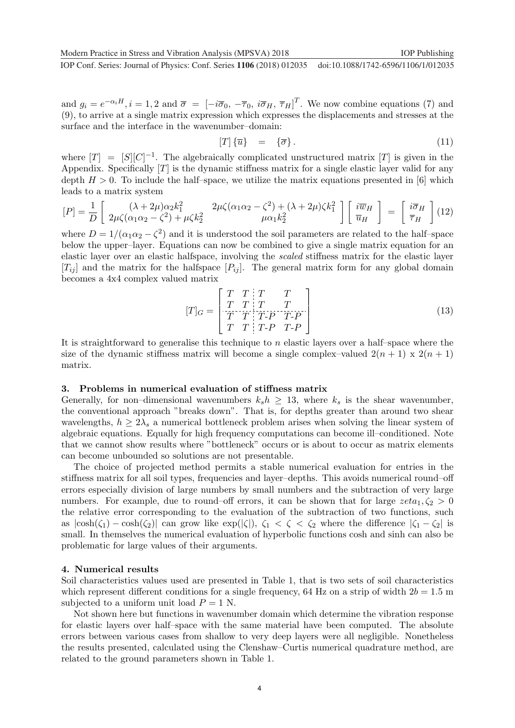and  $g_i = e^{-\alpha_i H}, i = 1, 2$  and  $\overline{\sigma} = [-i\overline{\sigma}_0, -\overline{\tau}_0, i\overline{\sigma}_H, \overline{\tau}_H]^T$ . We now combine equations (7) and (9), to arrive at a single matrix expression which expresses the displacements and stresses at the surface and the interface in the wavenumber–domain:

$$
[T] \{\overline{u}\} = \{\overline{\sigma}\}.
$$
 (11)

where  $[T] = [S][C]^{-1}$ . The algebraically complicated unstructured matrix  $[T]$  is given in the Appendix. Specifically  $[T]$  is the dynamic stiffness matrix for a single elastic layer valid for any depth  $H > 0$ . To include the half–space, we utilize the matrix equations presented in [6] which leads to a matrix system

$$
[P] = \frac{1}{D} \left[ \begin{array}{cc} (\lambda + 2\mu)\alpha_2 k_1^2 & 2\mu\zeta(\alpha_1\alpha_2 - \zeta^2) + (\lambda + 2\mu)\zeta k_1^2 \\ 2\mu\zeta(\alpha_1\alpha_2 - \zeta^2) + \mu\zeta k_2^2 & \mu\alpha_1 k_2^2 \end{array} \right] \left[ \begin{array}{c} i\overline{w}_H \\ \overline{u}_H \end{array} \right] = \left[ \begin{array}{c} i\overline{\sigma}_H \\ \overline{\tau}_H \end{array} \right] (12)
$$

where  $D = 1/(\alpha_1 \alpha_2 - \zeta^2)$  and it is understood the soil parameters are related to the half-space below the upper–layer. Equations can now be combined to give a single matrix equation for an elastic layer over an elastic halfspace, involving the scaled stiffness matrix for the elastic layer  $[T_{ij}]$  and the matrix for the halfspace  $[P_{ij}]$ . The general matrix form for any global domain becomes a 4x4 complex valued matrix

$$
[T]_G = \begin{bmatrix} T & T & T & T \\ T & T & T & T \\ \overline{T} & T & T - P & T - P \\ T & T & T - P & T - P \end{bmatrix}
$$
(13)

It is straightforward to generalise this technique to n elastic layers over a half–space where the size of the dynamic stiffness matrix will become a single complex–valued  $2(n + 1) \times 2(n + 1)$ matrix.

#### 3. Problems in numerical evaluation of stiffness matrix

Generally, for non–dimensional wavenumbers  $k_s h \geq 13$ , where  $k_s$  is the shear wavenumber, the conventional approach "breaks down". That is, for depths greater than around two shear wavelengths,  $h > 2\lambda_s$  a numerical bottleneck problem arises when solving the linear system of algebraic equations. Equally for high frequency computations can become ill–conditioned. Note that we cannot show results where "bottleneck" occurs or is about to occur as matrix elements can become unbounded so solutions are not presentable.

The choice of projected method permits a stable numerical evaluation for entries in the stiffness matrix for all soil types, frequencies and layer–depths. This avoids numerical round–off errors especially division of large numbers by small numbers and the subtraction of very large numbers. For example, due to round–off errors, it can be shown that for large  $zeta_1, \zeta_2 > 0$ the relative error corresponding to the evaluation of the subtraction of two functions, such as  $|\cosh(\zeta_1) - \cosh(\zeta_2)|$  can grow like  $\exp(|\zeta|)$ ,  $\zeta_1 < \zeta < \zeta_2$  where the difference  $|\zeta_1 - \zeta_2|$  is small. In themselves the numerical evaluation of hyperbolic functions cosh and sinh can also be problematic for large values of their arguments.

#### 4. Numerical results

Soil characteristics values used are presented in Table 1, that is two sets of soil characteristics which represent different conditions for a single frequency, 64 Hz on a strip of width  $2b = 1.5$  m subjected to a uniform unit load  $P = 1$  N.

Not shown here but functions in wavenumber domain which determine the vibration response for elastic layers over half–space with the same material have been computed. The absolute errors between various cases from shallow to very deep layers were all negligible. Nonetheless the results presented, calculated using the Clenshaw–Curtis numerical quadrature method, are related to the ground parameters shown in Table 1.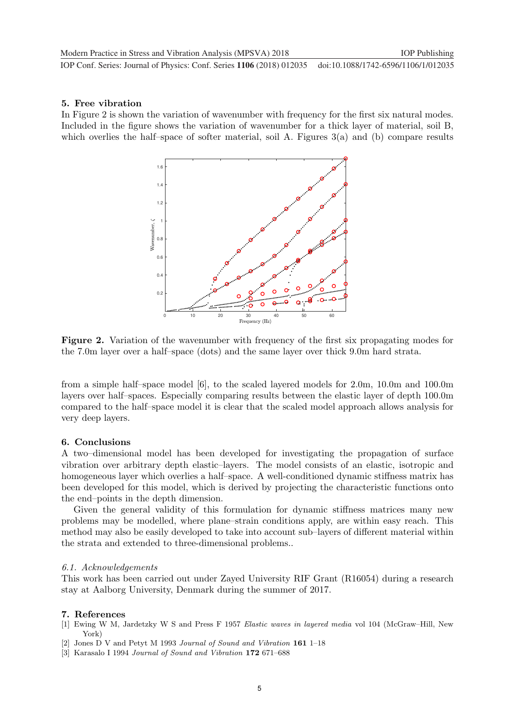## 5. Free vibration

In Figure 2 is shown the variation of wavenumber with frequency for the first six natural modes. Included in the figure shows the variation of wavenumber for a thick layer of material, soil B, which overlies the half–space of softer material, soil A. Figures  $3(a)$  and (b) compare results



Figure 2. Variation of the wavenumber with frequency of the first six propagating modes for the 7.0m layer over a half–space (dots) and the same layer over thick 9.0m hard strata.

from a simple half–space model [6], to the scaled layered models for 2.0m, 10.0m and 100.0m layers over half–spaces. Especially comparing results between the elastic layer of depth 100.0m compared to the half–space model it is clear that the scaled model approach allows analysis for very deep layers.

### 6. Conclusions

A two–dimensional model has been developed for investigating the propagation of surface vibration over arbitrary depth elastic–layers. The model consists of an elastic, isotropic and homogeneous layer which overlies a half–space. A well-conditioned dynamic stiffness matrix has been developed for this model, which is derived by projecting the characteristic functions onto the end–points in the depth dimension.

Given the general validity of this formulation for dynamic stiffness matrices many new problems may be modelled, where plane–strain conditions apply, are within easy reach. This method may also be easily developed to take into account sub–layers of different material within the strata and extended to three-dimensional problems..

#### 6.1. Acknowledgements

This work has been carried out under Zayed University RIF Grant (R16054) during a research stay at Aalborg University, Denmark during the summer of 2017.

#### 7. References

- [1] Ewing W M, Jardetzky W S and Press F 1957 Elastic waves in layered media vol 104 (McGraw–Hill, New York)
- [2] Jones D V and Petyt M 1993 Journal of Sound and Vibration 161 1–18
- [3] Karasalo I 1994 Journal of Sound and Vibration 172 671–688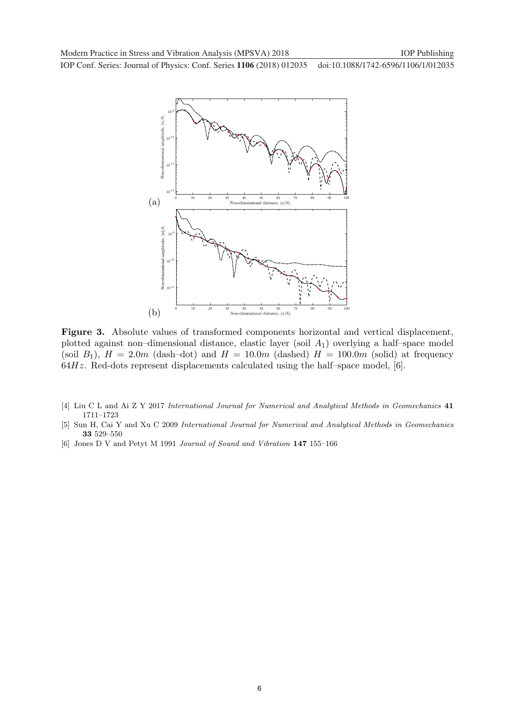

Figure 3. Absolute values of transformed components horizontal and vertical displacement, plotted against non–dimensional distance, elastic layer (soil  $A_1$ ) overlying a half–space model (soil  $B_1$ ),  $H = 2.0m$  (dash-dot) and  $H = 10.0m$  (dashed)  $H = 100.0m$  (solid) at frequency  $64Hz$ . Red-dots represent displacements calculated using the half–space model, [6].

- [4] Liu C L and Ai Z Y 2017 International Journal for Numerical and Analytical Methods in Geomechanics 41 1711–1723
- [5] Sun H, Cai Y and Xu C 2009 International Journal for Numerical and Analytical Methods in Geomechanics 33 529–550
- [6] Jones D V and Petyt M 1991 Journal of Sound and Vibration 147 155–166